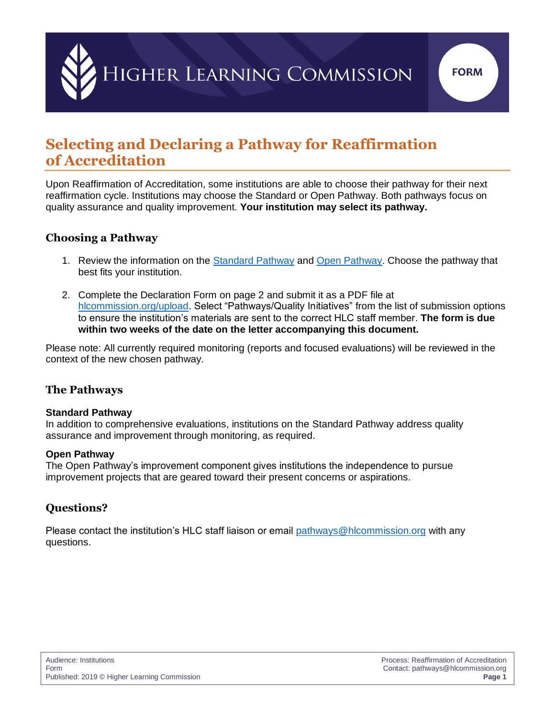

# **Selecting and Declaring a Pathway for Reaffirmation of Accreditation**

Upon Reaffirmation of Accreditation, some institutions are able to choose their pathway for their next reaffirmation cycle. Institutions may choose the Standard or Open Pathway. Both pathways focus on quality assurance and quality improvement. **Your institution may select its pathway.**

## **Choosing a Pathway**

- 1. Review the information on the [Standard Pathway](https://www.hlcommission.org/Accreditation/standard-overview.html) and [Open Pathway.](https://www.hlcommission.org/Accreditation/open-overview.html) Choose the pathway that best fits your institution.
- 2. Complete the Declaration Form on page 2 and submit it as a PDF file at [hlcommission.org/upload.](https://www.hlcommission.org/upload) Select "Pathways/Quality Initiatives" from the list of submission options to ensure the institution's materials are sent to the correct HLC staff member. **The form is due within two weeks of the date on the letter accompanying this document.**

Please note: All currently required monitoring (reports and focused evaluations) will be reviewed in the context of the new chosen pathway.

## **The Pathways**

#### **Standard Pathway**

In addition to comprehensive evaluations, institutions on the [Standard Pathway](http://www.hlcommission.org/Pathways/standard-pathway.html) address quality assurance and improvement through monitoring, as required.

#### **Open Pathway**

The [Open Pathway'](http://www.hlcommission.org/Pathways/open-pathway.html)s improvement component gives institutions the independence to pursue improvement projects that are geared toward their present concerns or aspirations.

## **Questions?**

Please contact the institution's HLC staff liaison or email [pathways@hlcommission.org](mailto:pathways%40hlcommission.org?subject=) with any questions.